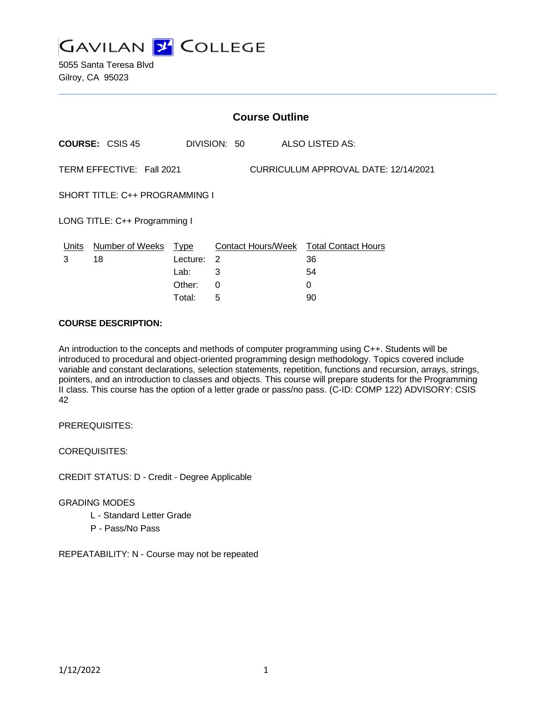

5055 Santa Teresa Blvd Gilroy, CA 95023

|                                                                   | <b>Course Outline</b>      |            |              |                                        |  |  |
|-------------------------------------------------------------------|----------------------------|------------|--------------|----------------------------------------|--|--|
|                                                                   | <b>COURSE: CSIS 45</b>     |            | DIVISION: 50 | ALSO LISTED AS:                        |  |  |
| TERM EFFECTIVE: Fall 2021<br>CURRICULUM APPROVAL DATE: 12/14/2021 |                            |            |              |                                        |  |  |
| SHORT TITLE: C++ PROGRAMMING I                                    |                            |            |              |                                        |  |  |
| LONG TITLE: C++ Programming I                                     |                            |            |              |                                        |  |  |
|                                                                   | Units Number of Weeks Type |            |              | Contact Hours/Week Total Contact Hours |  |  |
| 3                                                                 | 18                         | Lecture: 2 |              | 36                                     |  |  |
|                                                                   |                            | Lab:       | 3            | 54                                     |  |  |
|                                                                   |                            | Other:     | 0            | 0                                      |  |  |
|                                                                   |                            | Total:     | 5            | 90                                     |  |  |

## **COURSE DESCRIPTION:**

An introduction to the concepts and methods of computer programming using C++. Students will be introduced to procedural and object-oriented programming design methodology. Topics covered include variable and constant declarations, selection statements, repetition, functions and recursion, arrays, strings, pointers, and an introduction to classes and objects. This course will prepare students for the Programming II class. This course has the option of a letter grade or pass/no pass. (C-ID: COMP 122) ADVISORY: CSIS 42

PREREQUISITES:

COREQUISITES:

CREDIT STATUS: D - Credit - Degree Applicable

#### GRADING MODES

- L Standard Letter Grade
- P Pass/No Pass

REPEATABILITY: N - Course may not be repeated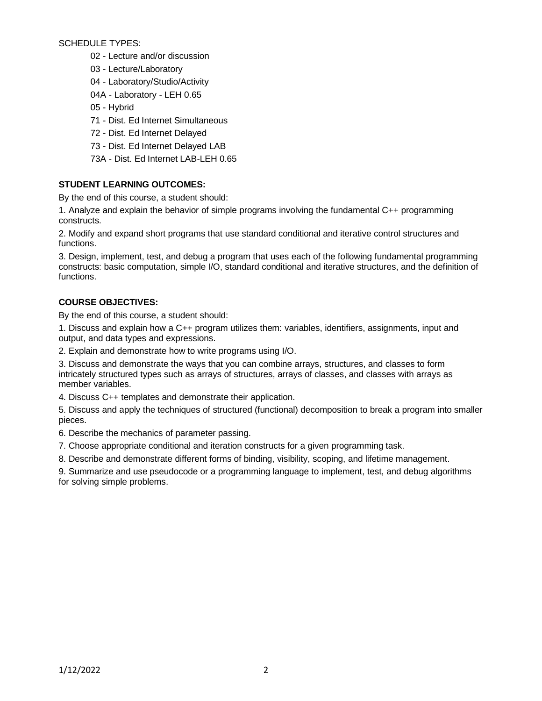SCHEDULE TYPES:

- 02 Lecture and/or discussion
- 03 Lecture/Laboratory
- 04 Laboratory/Studio/Activity
- 04A Laboratory LEH 0.65
- 05 Hybrid
- 71 Dist. Ed Internet Simultaneous
- 72 Dist. Ed Internet Delayed
- 73 Dist. Ed Internet Delayed LAB
- 73A Dist. Ed Internet LAB-LEH 0.65

# **STUDENT LEARNING OUTCOMES:**

By the end of this course, a student should:

1. Analyze and explain the behavior of simple programs involving the fundamental C++ programming constructs.

2. Modify and expand short programs that use standard conditional and iterative control structures and functions.

3. Design, implement, test, and debug a program that uses each of the following fundamental programming constructs: basic computation, simple I/O, standard conditional and iterative structures, and the definition of functions.

# **COURSE OBJECTIVES:**

By the end of this course, a student should:

1. Discuss and explain how a C++ program utilizes them: variables, identifiers, assignments, input and output, and data types and expressions.

2. Explain and demonstrate how to write programs using I/O.

3. Discuss and demonstrate the ways that you can combine arrays, structures, and classes to form intricately structured types such as arrays of structures, arrays of classes, and classes with arrays as member variables.

4. Discuss C++ templates and demonstrate their application.

5. Discuss and apply the techniques of structured (functional) decomposition to break a program into smaller pieces.

6. Describe the mechanics of parameter passing.

7. Choose appropriate conditional and iteration constructs for a given programming task.

8. Describe and demonstrate different forms of binding, visibility, scoping, and lifetime management.

9. Summarize and use pseudocode or a programming language to implement, test, and debug algorithms for solving simple problems.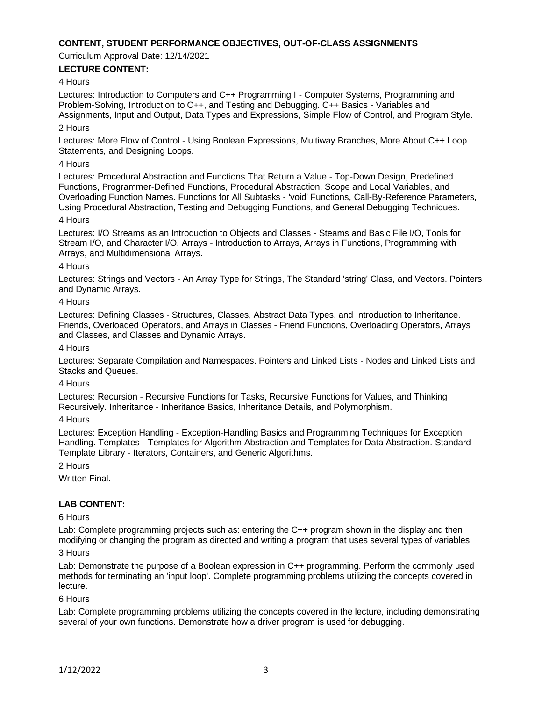## **CONTENT, STUDENT PERFORMANCE OBJECTIVES, OUT-OF-CLASS ASSIGNMENTS**

Curriculum Approval Date: 12/14/2021

## **LECTURE CONTENT:**

#### 4 Hours

Lectures: Introduction to Computers and C++ Programming I - Computer Systems, Programming and Problem-Solving, Introduction to C++, and Testing and Debugging. C++ Basics - Variables and Assignments, Input and Output, Data Types and Expressions, Simple Flow of Control, and Program Style.

### 2 Hours

Lectures: More Flow of Control - Using Boolean Expressions, Multiway Branches, More About C++ Loop Statements, and Designing Loops.

#### 4 Hours

Lectures: Procedural Abstraction and Functions That Return a Value - Top-Down Design, Predefined Functions, Programmer-Defined Functions, Procedural Abstraction, Scope and Local Variables, and Overloading Function Names. Functions for All Subtasks - 'void' Functions, Call-By-Reference Parameters, Using Procedural Abstraction, Testing and Debugging Functions, and General Debugging Techniques. 4 Hours

Lectures: I/O Streams as an Introduction to Objects and Classes - Steams and Basic File I/O, Tools for Stream I/O, and Character I/O. Arrays - Introduction to Arrays, Arrays in Functions, Programming with Arrays, and Multidimensional Arrays.

#### 4 Hours

Lectures: Strings and Vectors - An Array Type for Strings, The Standard 'string' Class, and Vectors. Pointers and Dynamic Arrays.

#### 4 Hours

Lectures: Defining Classes - Structures, Classes, Abstract Data Types, and Introduction to Inheritance. Friends, Overloaded Operators, and Arrays in Classes - Friend Functions, Overloading Operators, Arrays and Classes, and Classes and Dynamic Arrays.

4 Hours

Lectures: Separate Compilation and Namespaces. Pointers and Linked Lists - Nodes and Linked Lists and Stacks and Queues.

#### 4 Hours

Lectures: Recursion - Recursive Functions for Tasks, Recursive Functions for Values, and Thinking Recursively. Inheritance - Inheritance Basics, Inheritance Details, and Polymorphism.

4 Hours

Lectures: Exception Handling - Exception-Handling Basics and Programming Techniques for Exception Handling. Templates - Templates for Algorithm Abstraction and Templates for Data Abstraction. Standard Template Library - Iterators, Containers, and Generic Algorithms.

#### 2 Hours

Written Final.

#### **LAB CONTENT:**

#### 6 Hours

Lab: Complete programming projects such as: entering the C++ program shown in the display and then modifying or changing the program as directed and writing a program that uses several types of variables.

#### 3 Hours

Lab: Demonstrate the purpose of a Boolean expression in C++ programming. Perform the commonly used methods for terminating an 'input loop'. Complete programming problems utilizing the concepts covered in lecture.

#### 6 Hours

Lab: Complete programming problems utilizing the concepts covered in the lecture, including demonstrating several of your own functions. Demonstrate how a driver program is used for debugging.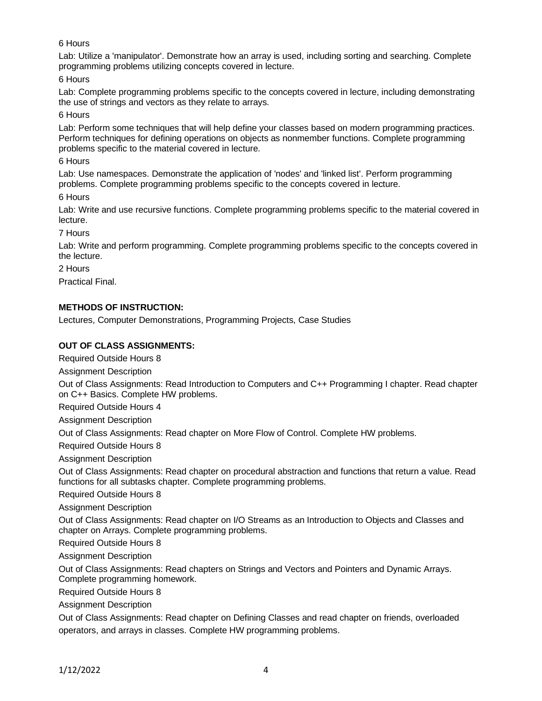## 6 Hours

Lab: Utilize a 'manipulator'. Demonstrate how an array is used, including sorting and searching. Complete programming problems utilizing concepts covered in lecture.

6 Hours

Lab: Complete programming problems specific to the concepts covered in lecture, including demonstrating the use of strings and vectors as they relate to arrays.

6 Hours

Lab: Perform some techniques that will help define your classes based on modern programming practices. Perform techniques for defining operations on objects as nonmember functions. Complete programming problems specific to the material covered in lecture.

## 6 Hours

Lab: Use namespaces. Demonstrate the application of 'nodes' and 'linked list'. Perform programming problems. Complete programming problems specific to the concepts covered in lecture.

6 Hours

Lab: Write and use recursive functions. Complete programming problems specific to the material covered in lecture.

7 Hours

Lab: Write and perform programming. Complete programming problems specific to the concepts covered in the lecture.

2 Hours

Practical Final.

## **METHODS OF INSTRUCTION:**

Lectures, Computer Demonstrations, Programming Projects, Case Studies

## **OUT OF CLASS ASSIGNMENTS:**

Required Outside Hours 8

Assignment Description

Out of Class Assignments: Read Introduction to Computers and C++ Programming I chapter. Read chapter on C++ Basics. Complete HW problems.

Required Outside Hours 4

Assignment Description

Out of Class Assignments: Read chapter on More Flow of Control. Complete HW problems.

Required Outside Hours 8

Assignment Description

Out of Class Assignments: Read chapter on procedural abstraction and functions that return a value. Read functions for all subtasks chapter. Complete programming problems.

Required Outside Hours 8

Assignment Description

Out of Class Assignments: Read chapter on I/O Streams as an Introduction to Objects and Classes and chapter on Arrays. Complete programming problems.

Required Outside Hours 8

Assignment Description

Out of Class Assignments: Read chapters on Strings and Vectors and Pointers and Dynamic Arrays. Complete programming homework.

Required Outside Hours 8

Assignment Description

Out of Class Assignments: Read chapter on Defining Classes and read chapter on friends, overloaded operators, and arrays in classes. Complete HW programming problems.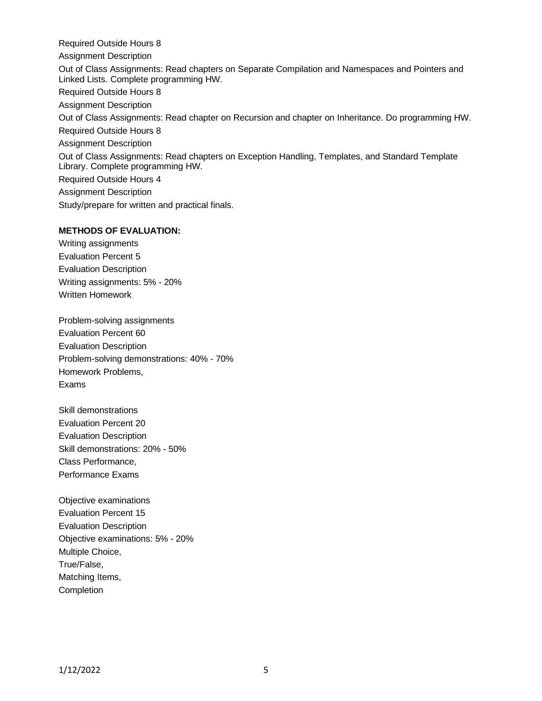Required Outside Hours 8 Assignment Description Out of Class Assignments: Read chapters on Separate Compilation and Namespaces and Pointers and Linked Lists. Complete programming HW. Required Outside Hours 8 Assignment Description Out of Class Assignments: Read chapter on Recursion and chapter on Inheritance. Do programming HW. Required Outside Hours 8 Assignment Description Out of Class Assignments: Read chapters on Exception Handling, Templates, and Standard Template Library. Complete programming HW. Required Outside Hours 4 Assignment Description Study/prepare for written and practical finals.

# **METHODS OF EVALUATION:**

Writing assignments Evaluation Percent 5 Evaluation Description Writing assignments: 5% - 20% Written Homework

Problem-solving assignments Evaluation Percent 60 Evaluation Description Problem-solving demonstrations: 40% - 70% Homework Problems, Exams

Skill demonstrations Evaluation Percent 20 Evaluation Description Skill demonstrations: 20% - 50% Class Performance, Performance Exams

Objective examinations Evaluation Percent 15 Evaluation Description Objective examinations: 5% - 20% Multiple Choice, True/False, Matching Items, **Completion**